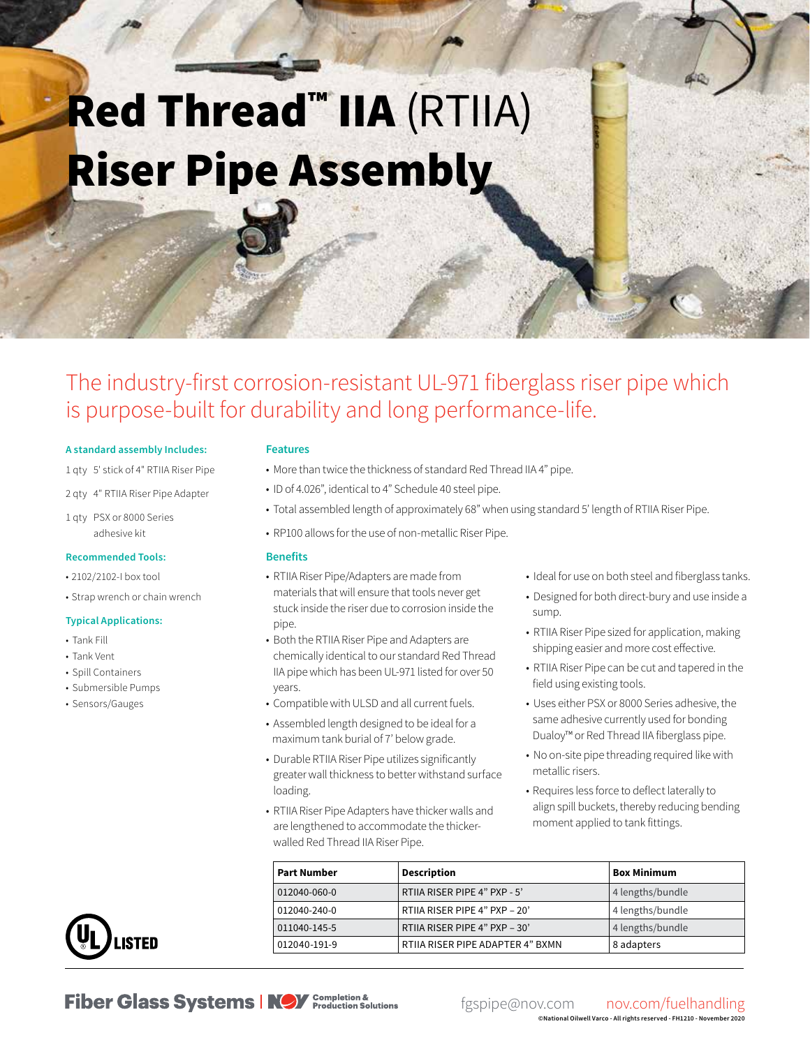# **Red Thread™ IIA (RTIIA)** Riser Pipe Assembly

## The industry-first corrosion-resistant UL-971 fiberglass riser pipe which is purpose-built for durability and long performance-life.

#### **A standard assembly Includes:**

- 1 qty 5' stick of 4" RTIIA Riser Pipe
- 2 qty 4" RTIIA Riser Pipe Adapter
- 1 qty PSX or 8000 Series adhesive kit

#### **Recommended Tools:**

- 2102/2102-I box tool
- Strap wrench or chain wrench

#### **Typical Applications:**

- Tank Fill
- Tank Vent
- Spill Containers
- Submersible Pumps
- Sensors/Gauges

#### **Features**

- More than twice the thickness of standard Red Thread IIA 4" pipe.
- ID of 4.026", identical to 4" Schedule 40 steel pipe.
- Total assembled length of approximately 68" when using standard 5' length of RTIIA Riser Pipe.
- RP100 allows for the use of non-metallic Riser Pipe.

#### **Benefits**

- RTIIA Riser Pipe/Adapters are made from materials that will ensure that tools never get stuck inside the riser due to corrosion inside the pipe.
- Both the RTIIA Riser Pipe and Adapters are chemically identical to our standard Red Thread IIA pipe which has been UL-971 listed for over 50 years.
- Compatible with ULSD and all current fuels.
- Assembled length designed to be ideal for a maximum tank burial of 7' below grade.
- Durable RTIIA Riser Pipe utilizes significantly greater wall thickness to better withstand surface loading.
- RTIIA Riser Pipe Adapters have thicker walls and are lengthened to accommodate the thickerwalled Red Thread IIA Riser Pipe.
- Ideal for use on both steel and fiberglass tanks.
- Designed for both direct-bury and use inside a sump.
- RTIIA Riser Pipe sized for application, making shipping easier and more cost effective.
- RTIIA Riser Pipe can be cut and tapered in the field using existing tools.
- Uses either PSX or 8000 Series adhesive, the same adhesive currently used for bonding Dualoy™ or Red Thread IIA fiberglass pipe.
- No on-site pipe threading required like with metallic risers.
- Requires less force to deflect laterally to align spill buckets, thereby reducing bending moment applied to tank fittings.

| <b>Part Number</b> | <b>Description</b>               | <b>Box Minimum</b> |
|--------------------|----------------------------------|--------------------|
| 012040-060-0       | RTIIA RISER PIPE 4" PXP - 5'     | 4 lengths/bundle   |
| 012040-240-0       | RTIIA RISER PIPE 4" PXP - 20"    | 4 lengths/bundle   |
| 011040-145-5       | RTIIA RISER PIPE 4" PXP - 30'    | 4 lengths/bundle   |
| 012040-191-9       | RTIIA RISER PIPE ADAPTER 4" BXMN | 8 adapters         |